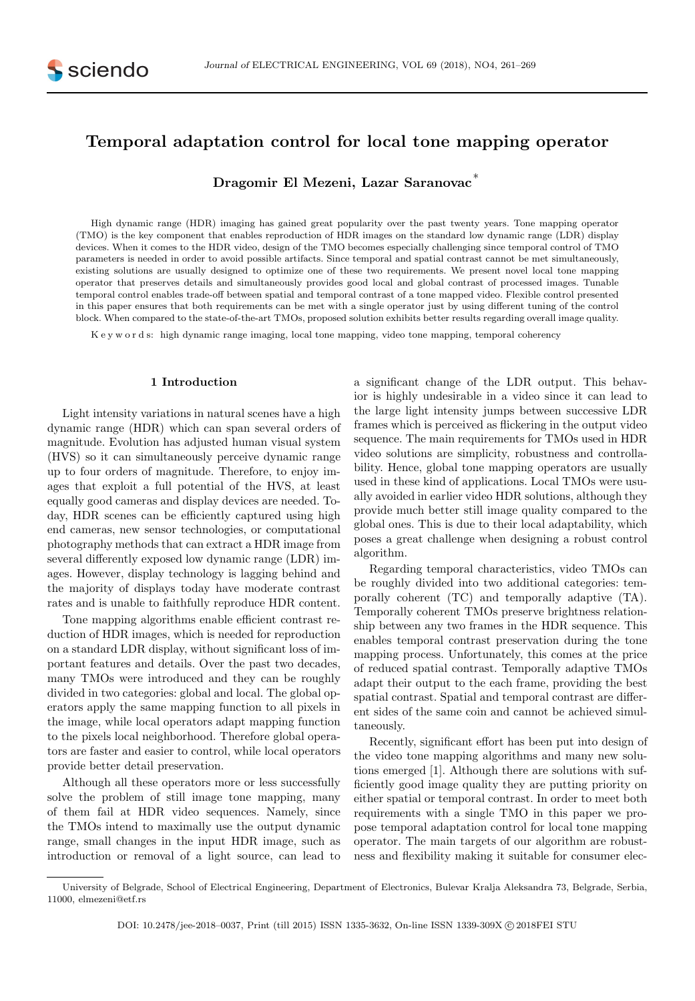# Temporal adaptation control for local tone mapping operator

Dragomir El Mezeni, Lazar Saranovac<sup>∗</sup>

High dynamic range (HDR) imaging has gained great popularity over the past twenty years. Tone mapping operator (TMO) is the key component that enables reproduction of HDR images on the standard low dynamic range (LDR) display devices. When it comes to the HDR video, design of the TMO becomes especially challenging since temporal control of TMO parameters is needed in order to avoid possible artifacts. Since temporal and spatial contrast cannot be met simultaneously, existing solutions are usually designed to optimize one of these two requirements. We present novel local tone mapping operator that preserves details and simultaneously provides good local and global contrast of processed images. Tunable temporal control enables trade-off between spatial and temporal contrast of a tone mapped video. Flexible control presented in this paper ensures that both requirements can be met with a single operator just by using different tuning of the control block. When compared to the state-of-the-art TMOs, proposed solution exhibits better results regarding overall image quality.

K e y w o r d s: high dynamic range imaging, local tone mapping, video tone mapping, temporal coherency

### 1 Introduction

Light intensity variations in natural scenes have a high dynamic range (HDR) which can span several orders of magnitude. Evolution has adjusted human visual system (HVS) so it can simultaneously perceive dynamic range up to four orders of magnitude. Therefore, to enjoy images that exploit a full potential of the HVS, at least equally good cameras and display devices are needed. Today, HDR scenes can be efficiently captured using high end cameras, new sensor technologies, or computational photography methods that can extract a HDR image from several differently exposed low dynamic range (LDR) images. However, display technology is lagging behind and the majority of displays today have moderate contrast rates and is unable to faithfully reproduce HDR content.

Tone mapping algorithms enable efficient contrast reduction of HDR images, which is needed for reproduction on a standard LDR display, without significant loss of important features and details. Over the past two decades, many TMOs were introduced and they can be roughly divided in two categories: global and local. The global operators apply the same mapping function to all pixels in the image, while local operators adapt mapping function to the pixels local neighborhood. Therefore global operators are faster and easier to control, while local operators provide better detail preservation.

Although all these operators more or less successfully solve the problem of still image tone mapping, many of them fail at HDR video sequences. Namely, since the TMOs intend to maximally use the output dynamic range, small changes in the input HDR image, such as introduction or removal of a light source, can lead to

a significant change of the LDR output. This behavior is highly undesirable in a video since it can lead to the large light intensity jumps between successive LDR frames which is perceived as flickering in the output video sequence. The main requirements for TMOs used in HDR video solutions are simplicity, robustness and controllability. Hence, global tone mapping operators are usually used in these kind of applications. Local TMOs were usually avoided in earlier video HDR solutions, although they provide much better still image quality compared to the global ones. This is due to their local adaptability, which poses a great challenge when designing a robust control algorithm.

Regarding temporal characteristics, video TMOs can be roughly divided into two additional categories: temporally coherent (TC) and temporally adaptive (TA). Temporally coherent TMOs preserve brightness relationship between any two frames in the HDR sequence. This enables temporal contrast preservation during the tone mapping process. Unfortunately, this comes at the price of reduced spatial contrast. Temporally adaptive TMOs adapt their output to the each frame, providing the best spatial contrast. Spatial and temporal contrast are different sides of the same coin and cannot be achieved simultaneously.

Recently, significant effort has been put into design of the video tone mapping algorithms and many new solutions emerged [1]. Although there are solutions with sufficiently good image quality they are putting priority on either spatial or temporal contrast. In order to meet both requirements with a single TMO in this paper we propose temporal adaptation control for local tone mapping operator. The main targets of our algorithm are robustness and flexibility making it suitable for consumer elec-

University of Belgrade, School of Electrical Engineering, Department of Electronics, Bulevar Kralja Aleksandra 73, Belgrade, Serbia, 11000, elmezeni@etf.rs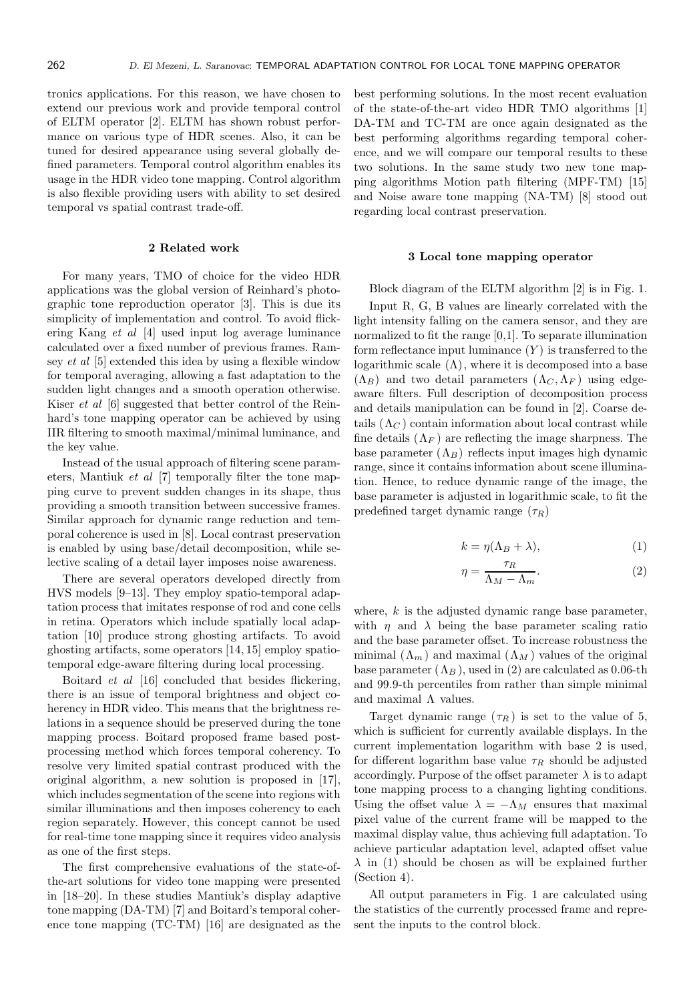tronics applications. For this reason, we have chosen to extend our previous work and provide temporal control of ELTM operator [2]. ELTM has shown robust performance on various type of HDR scenes. Also, it can be tuned for desired appearance using several globally defined parameters. Temporal control algorithm enables its usage in the HDR video tone mapping. Control algorithm is also flexible providing users with ability to set desired temporal vs spatial contrast trade-off.

# 2 Related work

For many years, TMO of choice for the video HDR applications was the global version of Reinhard's photographic tone reproduction operator [3]. This is due its simplicity of implementation and control. To avoid flickering Kang et al [4] used input log average luminance calculated over a fixed number of previous frames. Ramsey et al [5] extended this idea by using a flexible window for temporal averaging, allowing a fast adaptation to the sudden light changes and a smooth operation otherwise. Kiser et al [6] suggested that better control of the Reinhard's tone mapping operator can be achieved by using IIR filtering to smooth maximal/minimal luminance, and the key value.

Instead of the usual approach of filtering scene parameters, Mantiuk et al [7] temporally filter the tone mapping curve to prevent sudden changes in its shape, thus providing a smooth transition between successive frames. Similar approach for dynamic range reduction and temporal coherence is used in [8]. Local contrast preservation is enabled by using base/detail decomposition, while selective scaling of a detail layer imposes noise awareness.

There are several operators developed directly from HVS models [9–13]. They employ spatio-temporal adaptation process that imitates response of rod and cone cells in retina. Operators which include spatially local adaptation [10] produce strong ghosting artifacts. To avoid ghosting artifacts, some operators [14, 15] employ spatiotemporal edge-aware filtering during local processing.

Boitard et al [16] concluded that besides flickering, there is an issue of temporal brightness and object coherency in HDR video. This means that the brightness relations in a sequence should be preserved during the tone mapping process. Boitard proposed frame based postprocessing method which forces temporal coherency. To resolve very limited spatial contrast produced with the original algorithm, a new solution is proposed in [17], which includes segmentation of the scene into regions with similar illuminations and then imposes coherency to each region separately. However, this concept cannot be used for real-time tone mapping since it requires video analysis as one of the first steps.

The first comprehensive evaluations of the state-ofthe-art solutions for video tone mapping were presented in [18–20]. In these studies Mantiuk's display adaptive tone mapping (DA-TM) [7] and Boitard's temporal coherence tone mapping (TC-TM) [16] are designated as the best performing solutions. In the most recent evaluation of the state-of-the-art video HDR TMO algorithms [1] DA-TM and TC-TM are once again designated as the best performing algorithms regarding temporal coherence, and we will compare our temporal results to these two solutions. In the same study two new tone mapping algorithms Motion path filtering (MPF-TM) [15] and Noise aware tone mapping (NA-TM) [8] stood out regarding local contrast preservation.

# 3 Local tone mapping operator

Block diagram of the ELTM algorithm [2] is in Fig. 1.

Input R, G, B values are linearly correlated with the light intensity falling on the camera sensor, and they are normalized to fit the range [0,1]. To separate illumination form reflectance input luminance  $(Y)$  is transferred to the logarithmic scale  $(Λ)$ , where it is decomposed into a base  $(\Lambda_B)$  and two detail parameters  $(\Lambda_C, \Lambda_F)$  using edgeaware filters. Full description of decomposition process and details manipulation can be found in [2]. Coarse details  $(\Lambda_C)$  contain information about local contrast while fine details  $(\Lambda_F)$  are reflecting the image sharpness. The base parameter  $(\Lambda_B)$  reflects input images high dynamic range, since it contains information about scene illumination. Hence, to reduce dynamic range of the image, the base parameter is adjusted in logarithmic scale, to fit the predefined target dynamic range  $(\tau_R)$ 

$$
k = \eta(\Lambda_B + \lambda), \tag{1}
$$

$$
\eta = \frac{\tau_R}{\Lambda_M - \Lambda_m}.\tag{2}
$$

where,  $k$  is the adjusted dynamic range base parameter, with  $\eta$  and  $\lambda$  being the base parameter scaling ratio and the base parameter offset. To increase robustness the minimal  $(\Lambda_m)$  and maximal  $(\Lambda_M)$  values of the original base parameter  $(\Lambda_B)$ , used in (2) are calculated as 0.06-th and 99.9-th percentiles from rather than simple minimal and maximal  $\Lambda$  values.

Target dynamic range  $(\tau_R)$  is set to the value of 5, which is sufficient for currently available displays. In the current implementation logarithm with base 2 is used, for different logarithm base value  $\tau_R$  should be adjusted accordingly. Purpose of the offset parameter  $\lambda$  is to adapt tone mapping process to a changing lighting conditions. Using the offset value  $\lambda = -\Lambda_M$  ensures that maximal pixel value of the current frame will be mapped to the maximal display value, thus achieving full adaptation. To achieve particular adaptation level, adapted offset value  $\lambda$  in (1) should be chosen as will be explained further (Section 4).

All output parameters in Fig. 1 are calculated using the statistics of the currently processed frame and represent the inputs to the control block.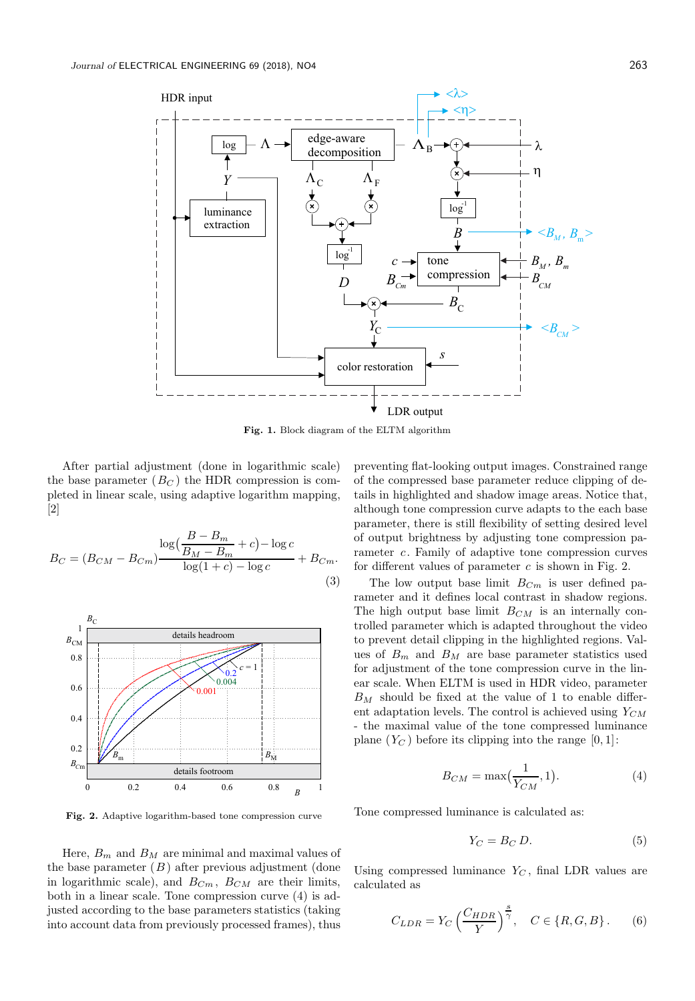

Fig. 1. Block diagram of the ELTM algorithm

After partial adjustment (done in logarithmic scale) the base parameter  $(B_C)$  the HDR compression is completed in linear scale, using adaptive logarithm mapping, [2]

$$
B_C = (B_{CM} - B_{Cm}) \frac{\log(\frac{B - B_m}{B_M - B_m} + c) - \log c}{\log(1 + c) - \log c} + B_{Cm}.
$$
\n(3)



Fig. 2. Adaptive logarithm-based tone compression curve

Here,  $B_m$  and  $B_M$  are minimal and maximal values of the base parameter  $(B)$  after previous adjustment (done in logarithmic scale), and  $B_{Cm}$ ,  $B_{CM}$  are their limits, both in a linear scale. Tone compression curve (4) is adjusted according to the base parameters statistics (taking into account data from previously processed frames), thus

preventing flat-looking output images. Constrained range of the compressed base parameter reduce clipping of details in highlighted and shadow image areas. Notice that, although tone compression curve adapts to the each base parameter, there is still flexibility of setting desired level of output brightness by adjusting tone compression parameter c. Family of adaptive tone compression curves for different values of parameter  $c$  is shown in Fig. 2.

The low output base limit  $B_{C_m}$  is user defined parameter and it defines local contrast in shadow regions. The high output base limit  $B_{CM}$  is an internally controlled parameter which is adapted throughout the video to prevent detail clipping in the highlighted regions. Values of  $B_m$  and  $B_M$  are base parameter statistics used for adjustment of the tone compression curve in the linear scale. When ELTM is used in HDR video, parameter  $B_M$  should be fixed at the value of 1 to enable different adaptation levels. The control is achieved using  $Y_{CM}$ - the maximal value of the tone compressed luminance plane  $(Y_C)$  before its clipping into the range  $[0, 1]$ :

$$
B_{CM} = \max\left(\frac{1}{Y_{CM}}, 1\right). \tag{4}
$$

Tone compressed luminance is calculated as:

$$
Y_C = B_C D. \tag{5}
$$

Using compressed luminance  $Y_C$ , final LDR values are calculated as

$$
C_{LDR} = Y_C \left(\frac{C_{HDR}}{Y}\right)^{\frac{s}{\gamma}}, \quad C \in \{R, G, B\}.
$$
 (6)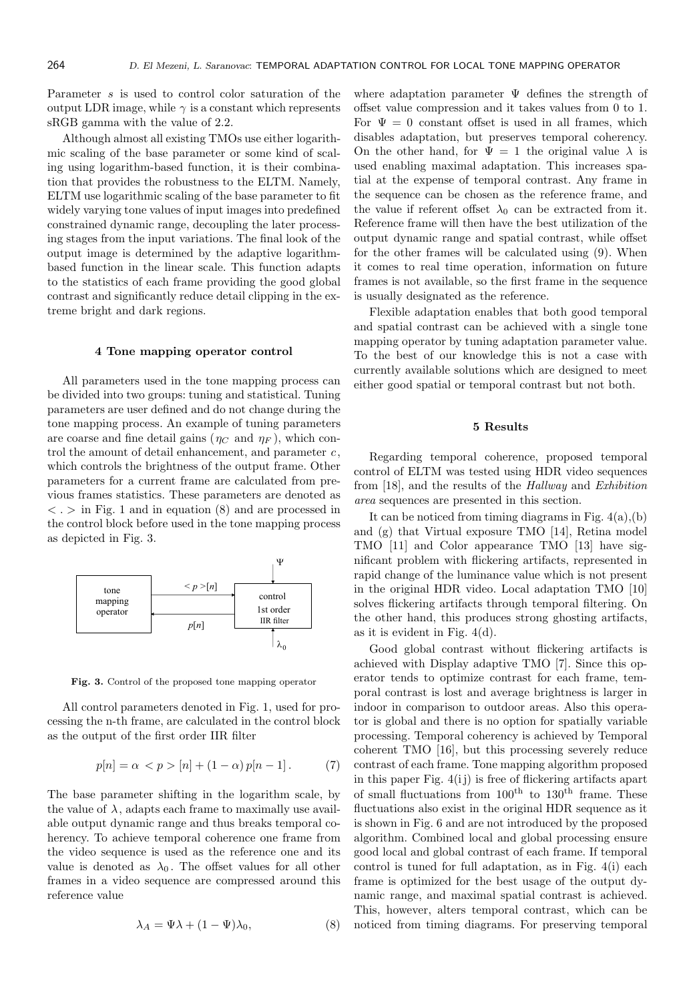Parameter s is used to control color saturation of the output LDR image, while  $\gamma$  is a constant which represents sRGB gamma with the value of 2.2.

Although almost all existing TMOs use either logarithmic scaling of the base parameter or some kind of scaling using logarithm-based function, it is their combination that provides the robustness to the ELTM. Namely, ELTM use logarithmic scaling of the base parameter to fit widely varying tone values of input images into predefined constrained dynamic range, decoupling the later processing stages from the input variations. The final look of the output image is determined by the adaptive logarithmbased function in the linear scale. This function adapts to the statistics of each frame providing the good global contrast and significantly reduce detail clipping in the extreme bright and dark regions.

#### 4 Tone mapping operator control

All parameters used in the tone mapping process can be divided into two groups: tuning and statistical. Tuning parameters are user defined and do not change during the tone mapping process. An example of tuning parameters are coarse and fine detail gains ( $\eta_C$  and  $\eta_F$ ), which control the amount of detail enhancement, and parameter  $c$ , which controls the brightness of the output frame. Other parameters for a current frame are calculated from previous frames statistics. These parameters are denoted as  $\langle \cdot \rangle$  in Fig. 1 and in equation (8) and are processed in the control block before used in the tone mapping process as depicted in Fig. 3.



Fig. 3. Control of the proposed tone mapping operator

All control parameters denoted in Fig. 1, used for processing the n-th frame, are calculated in the control block as the output of the first order IIR filter

$$
p[n] = \alpha < p > [n] + (1 - \alpha)p[n - 1].\tag{7}
$$

The base parameter shifting in the logarithm scale, by the value of  $\lambda$ , adapts each frame to maximally use available output dynamic range and thus breaks temporal coherency. To achieve temporal coherence one frame from the video sequence is used as the reference one and its value is denoted as  $\lambda_0$ . The offset values for all other frames in a video sequence are compressed around this reference value

$$
\lambda_A = \Psi \lambda + (1 - \Psi)\lambda_0,\tag{8}
$$

where adaptation parameter  $\Psi$  defines the strength of offset value compression and it takes values from 0 to 1. For  $\Psi = 0$  constant offset is used in all frames, which disables adaptation, but preserves temporal coherency. On the other hand, for  $\Psi = 1$  the original value  $\lambda$  is used enabling maximal adaptation. This increases spatial at the expense of temporal contrast. Any frame in the sequence can be chosen as the reference frame, and the value if referent offset  $\lambda_0$  can be extracted from it. Reference frame will then have the best utilization of the output dynamic range and spatial contrast, while offset for the other frames will be calculated using (9). When it comes to real time operation, information on future frames is not available, so the first frame in the sequence is usually designated as the reference.

Flexible adaptation enables that both good temporal and spatial contrast can be achieved with a single tone mapping operator by tuning adaptation parameter value. To the best of our knowledge this is not a case with currently available solutions which are designed to meet either good spatial or temporal contrast but not both.

# 5 Results

Regarding temporal coherence, proposed temporal control of ELTM was tested using HDR video sequences from [18], and the results of the Hallway and Exhibition area sequences are presented in this section.

It can be noticed from timing diagrams in Fig. 4(a),(b) and (g) that Virtual exposure TMO [14], Retina model TMO [11] and Color appearance TMO [13] have significant problem with flickering artifacts, represented in rapid change of the luminance value which is not present in the original HDR video. Local adaptation TMO [10] solves flickering artifacts through temporal filtering. On the other hand, this produces strong ghosting artifacts, as it is evident in Fig. 4(d).

Good global contrast without flickering artifacts is achieved with Display adaptive TMO [7]. Since this operator tends to optimize contrast for each frame, temporal contrast is lost and average brightness is larger in indoor in comparison to outdoor areas. Also this operator is global and there is no option for spatially variable processing. Temporal coherency is achieved by Temporal coherent TMO [16], but this processing severely reduce contrast of each frame. Tone mapping algorithm proposed in this paper Fig.  $4(i)$  is free of flickering artifacts apart of small fluctuations from  $100<sup>th</sup>$  to  $130<sup>th</sup>$  frame. These fluctuations also exist in the original HDR sequence as it is shown in Fig. 6 and are not introduced by the proposed algorithm. Combined local and global processing ensure good local and global contrast of each frame. If temporal control is tuned for full adaptation, as in Fig. 4(i) each frame is optimized for the best usage of the output dynamic range, and maximal spatial contrast is achieved. This, however, alters temporal contrast, which can be noticed from timing diagrams. For preserving temporal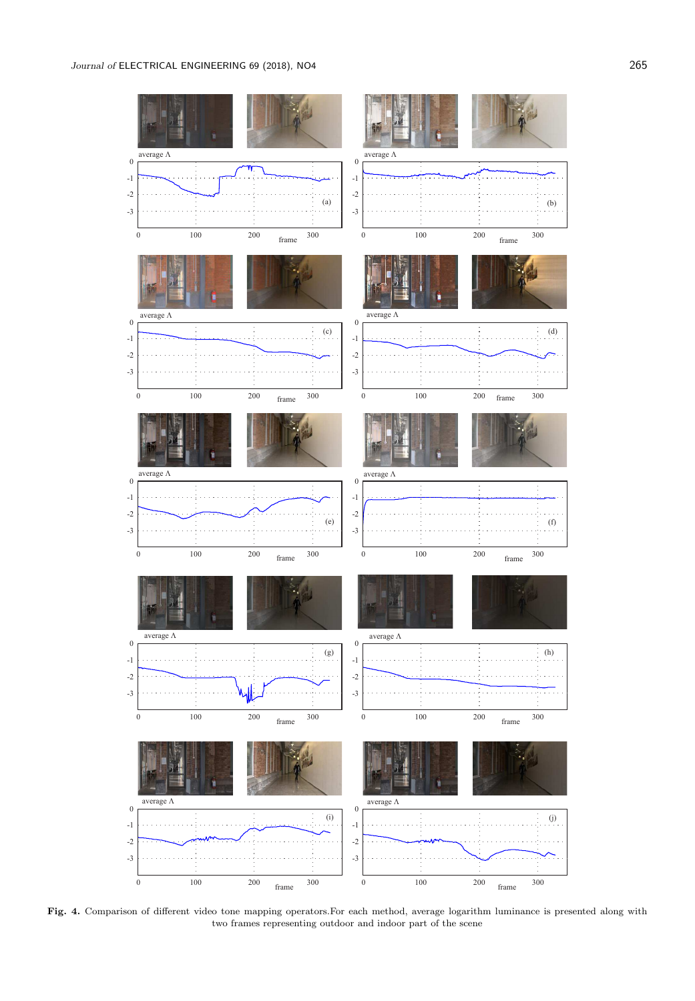

Fig. 4. Comparison of different video tone mapping operators.For each method, average logarithm luminance is presented along with two frames representing outdoor and indoor part of the scene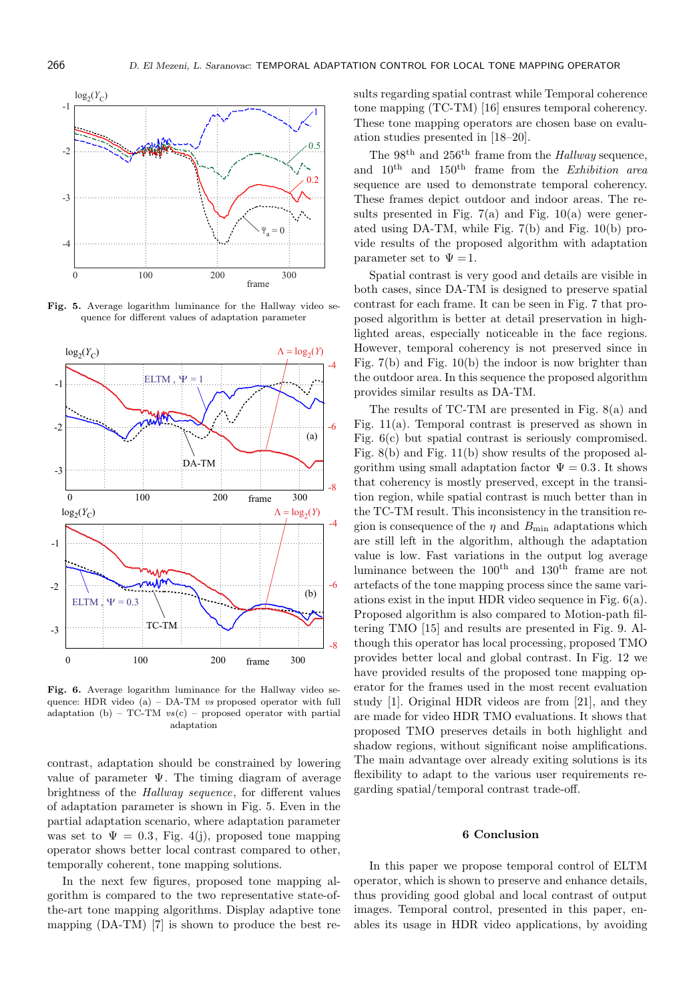

Fig. 5. Average logarithm luminance for the Hallway video sequence for different values of adaptation parameter



Fig. 6. Average logarithm luminance for the Hallway video sequence: HDR video  $(a)$  – DA-TM *vs* proposed operator with full adaptation (b) – TC-TM  $vs(c)$  – proposed operator with partial adaptation

contrast, adaptation should be constrained by lowering value of parameter  $\Psi$ . The timing diagram of average brightness of the Hallway sequence, for different values of adaptation parameter is shown in Fig. 5. Even in the partial adaptation scenario, where adaptation parameter was set to  $\Psi = 0.3$ , Fig. 4(j), proposed tone mapping operator shows better local contrast compared to other, temporally coherent, tone mapping solutions.

In the next few figures, proposed tone mapping algorithm is compared to the two representative state-ofthe-art tone mapping algorithms. Display adaptive tone mapping (DA-TM) [7] is shown to produce the best results regarding spatial contrast while Temporal coherence tone mapping (TC-TM) [16] ensures temporal coherency. These tone mapping operators are chosen base on evaluation studies presented in [18–20].

The 98<sup>th</sup> and 256<sup>th</sup> frame from the *Hallway* sequence, and  $10^{th}$  and  $150^{th}$  frame from the *Exhibition area* sequence are used to demonstrate temporal coherency. These frames depict outdoor and indoor areas. The results presented in Fig.  $7(a)$  and Fig.  $10(a)$  were generated using DA-TM, while Fig. 7(b) and Fig. 10(b) provide results of the proposed algorithm with adaptation parameter set to  $\Psi = 1$ .

Spatial contrast is very good and details are visible in both cases, since DA-TM is designed to preserve spatial contrast for each frame. It can be seen in Fig. 7 that proposed algorithm is better at detail preservation in highlighted areas, especially noticeable in the face regions. However, temporal coherency is not preserved since in Fig. 7(b) and Fig. 10(b) the indoor is now brighter than the outdoor area. In this sequence the proposed algorithm provides similar results as DA-TM.

The results of TC-TM are presented in Fig. 8(a) and Fig. 11(a). Temporal contrast is preserved as shown in Fig. 6(c) but spatial contrast is seriously compromised. Fig. 8(b) and Fig. 11(b) show results of the proposed algorithm using small adaptation factor  $\Psi = 0.3$ . It shows that coherency is mostly preserved, except in the transition region, while spatial contrast is much better than in the TC-TM result. This inconsistency in the transition region is consequence of the  $\eta$  and  $B_{\text{min}}$  adaptations which are still left in the algorithm, although the adaptation value is low. Fast variations in the output log average luminance between the  $100^{\text{th}}$  and  $130^{\text{th}}$  frame are not artefacts of the tone mapping process since the same variations exist in the input HDR video sequence in Fig. 6(a). Proposed algorithm is also compared to Motion-path filtering TMO [15] and results are presented in Fig. 9. Although this operator has local processing, proposed TMO provides better local and global contrast. In Fig. 12 we have provided results of the proposed tone mapping operator for the frames used in the most recent evaluation study [1]. Original HDR videos are from [21], and they are made for video HDR TMO evaluations. It shows that proposed TMO preserves details in both highlight and shadow regions, without significant noise amplifications. The main advantage over already exiting solutions is its flexibility to adapt to the various user requirements regarding spatial/temporal contrast trade-off.

#### 6 Conclusion

In this paper we propose temporal control of ELTM operator, which is shown to preserve and enhance details, thus providing good global and local contrast of output images. Temporal control, presented in this paper, enables its usage in HDR video applications, by avoiding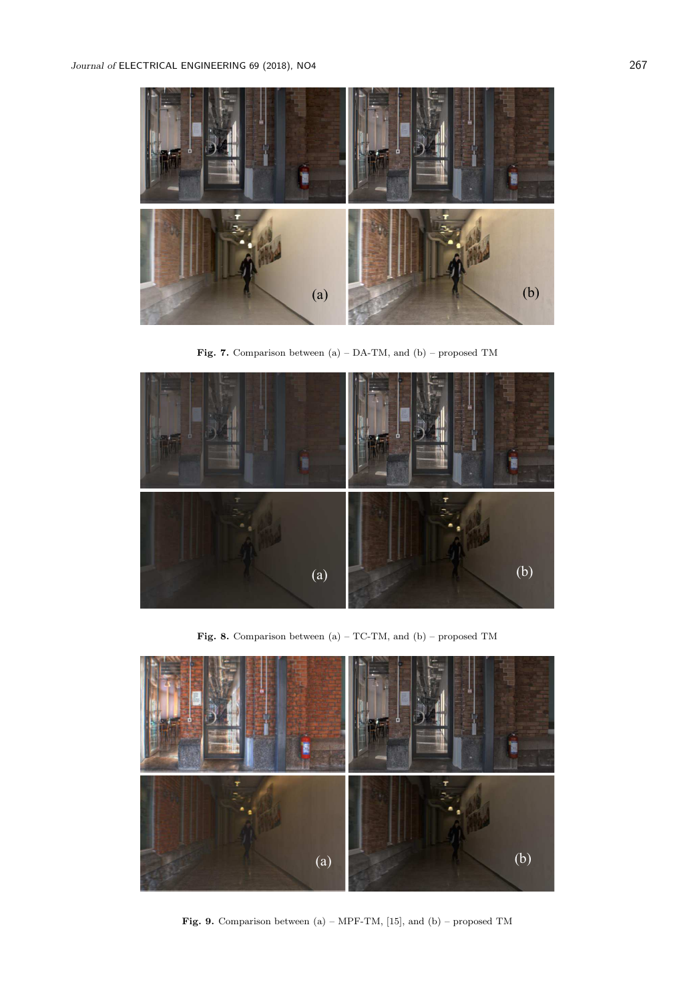

Fig. 7. Comparison between (a) – DA-TM, and (b) – proposed TM



Fig. 8. Comparison between (a) – TC-TM, and (b) – proposed TM



Fig. 9. Comparison between  $(a)$  – MPF-TM, [15], and  $(b)$  – proposed TM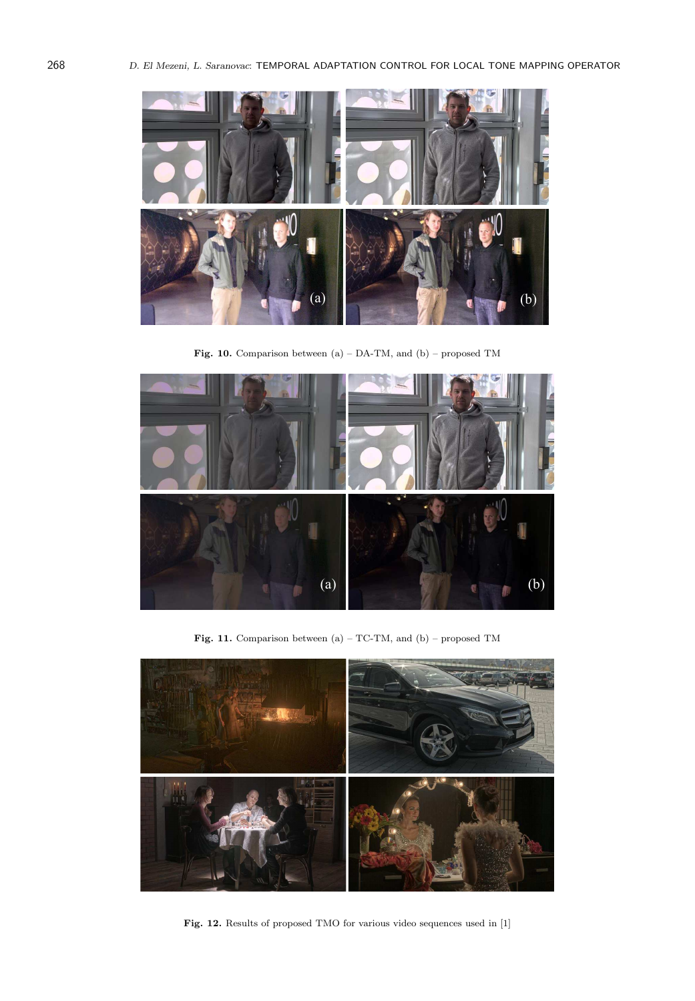

Fig. 10. Comparison between (a) – DA-TM, and (b) – proposed TM



Fig. 11. Comparison between (a) – TC-TM, and (b) – proposed TM



Fig. 12. Results of proposed TMO for various video sequences used in [1]